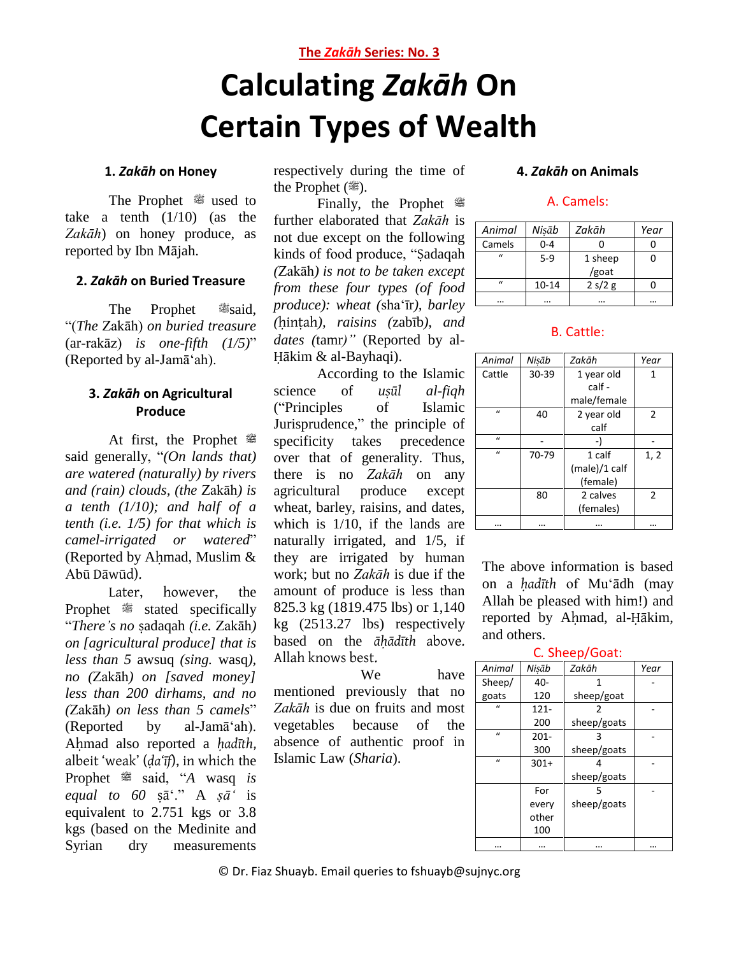**The** *Zakāh* **Series: No. 3**

# **Calculating** *Zakāh* **On Certain Types of Wealth**

### **1.** *Zakāh* **on Honey**

The Prophet  $\mathscr{E}$  used to take a tenth  $(1/10)$  (as the *Zakāh*) on honey produce, as reported by Ibn Mājah.

### **2.** *Zakāh* **on Buried Treasure**

The Prophet  $\approx$ said, "(*The* Zakāh) *on buried treasure*  (ar-rakāz) *is one-fifth (1/5)*" (Reported by al-Jamā'ah).

## **3.** *Zakāh* **on Agricultural Produce**

At first, the Prophet <sup>29</sup> said generally, "*(On lands that) are watered (naturally) by rivers and (rain) clouds, (the* Zakāh*) is a tenth (1/10); and half of a tenth (i.e. 1/5) for that which is camel-irrigated or watered*" (Reported by Aḥmad, Muslim & Abū Dāwūd).

Later, however, the Prophet <sup>36</sup> stated specifically "*There's no* ṣadaqah *(i.e.* Zakāh*) on [agricultural produce] that is less than 5* awsuq *(sing.* wasq*), no (*Zakāh*) on [saved money] less than 200 dirhams, and no (*Zakāh*) on less than 5 camels*" (Reported by al-Jamā'ah). Ahmad also reported a *hadīth*, albeit 'weak' (*ḍa'īf*), in which the Prophet  $\ddot{\mathscr{E}}$  said, "*A* wasq *is equal to 60* ṣā'." A *ṣā'* is equivalent to 2.751 kgs or 3.8 kgs (based on the Medinite and Syrian dry measurements

respectively during the time of the Prophet  $(\mathcal{L})$ .

Finally, the Prophet <sup>29</sup> further elaborated that *Zakāh* is not due except on the following kinds of food produce, "Ṣadaqah *(*Zakāh*) is not to be taken except from these four types (of food produce): wheat (*sha'īr*), barley (*ḥinṭah*), raisins (*zabīb*), and dates (*tamr*)"* (Reported by al-Ḥākim & al-Bayhaqi).

According to the Islamic science of *uṣūl al-fiqh* ("Principles of Islamic Jurisprudence," the principle of specificity takes precedence over that of generality. Thus, there is no *Zakāh* on any agricultural produce except wheat, barley, raisins, and dates, which is 1/10, if the lands are naturally irrigated, and 1/5, if they are irrigated by human work; but no *Zakāh* is due if the amount of produce is less than 825.3 kg (1819.475 lbs) or 1,140 kg (2513.27 lbs) respectively based on the *āḥādīth* above. Allah knows best.

## We have mentioned previously that no *Zakāh* is due on fruits and most vegetables because of the absence of authentic proof in Islamic Law (*Sharia*).

#### **4.** *Zakāh* **on Animals**

## A. Camels:

| Animal       | Nisāb     | Zakāh   | Year      |
|--------------|-----------|---------|-----------|
| Camels       | $0 - 4$   |         |           |
| $\mu$        | $5-9$     | 1 sheep |           |
|              |           | /goat   |           |
| $\mathbf{u}$ | $10 - 14$ | 2 s/2 g |           |
|              |           |         | $\ddotsc$ |

#### B. Cattle:

| Animal       | Nisāb     | Zakāh         | Year           |
|--------------|-----------|---------------|----------------|
| Cattle       | $30 - 39$ | 1 year old    | 1              |
|              |           | calf-         |                |
|              |           | male/female   |                |
| $\mathbf{u}$ | 40        | 2 year old    | $\overline{2}$ |
|              |           | calf          |                |
| $\mathbf{u}$ |           |               |                |
| $\mathbf{u}$ | 70-79     | 1 calf        | 1, 2           |
|              |           | (male)/1 calf |                |
|              |           | (female)      |                |
|              | 80        | 2 calves      | $\mathfrak{p}$ |
|              |           | (females)     |                |
|              |           |               |                |

The above information is based on a *ḥadīth* of Mu'ādh (may Allah be pleased with him!) and reported by Ahmad, al-Hākim, and others.

#### C*.* Sheep/Goat:

| Animal        | Nisāb   | Zakāh       | Year |
|---------------|---------|-------------|------|
| Sheep/        | 40-     | 1           |      |
| goats         | 120     | sheep/goat  |      |
| $\mathbf{u}$  | $121 -$ | 2           |      |
|               | 200     | sheep/goats |      |
| $\mathbf{u}$  | $201 -$ | ς           |      |
|               | 300     | sheep/goats |      |
| $\mathcal{U}$ | $301+$  |             |      |
|               |         | sheep/goats |      |
|               | For     | 5           |      |
|               | every   | sheep/goats |      |
|               | other   |             |      |
|               | 100     |             |      |
|               |         |             |      |

© Dr. Fiaz Shuayb. Email queries to fshuayb@sujnyc.org